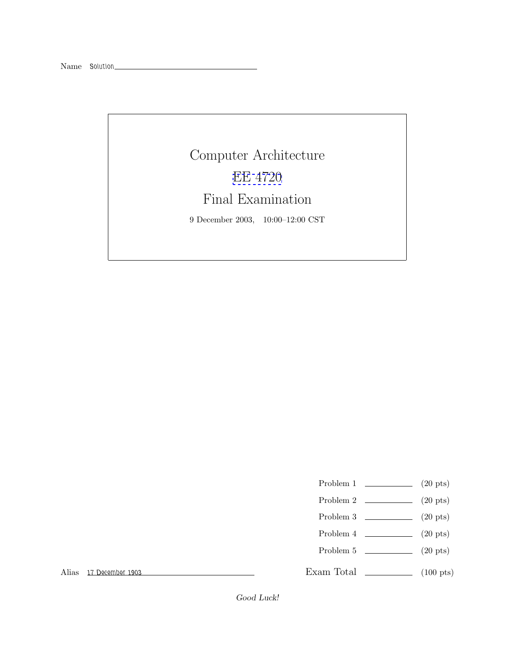## Computer Architecture [EE 4720](http://www.ece.lsu.edu/ee4720/) Final Examination 9 December 2003, 10:00–12:00 CST

- Problem 1  $\qquad \qquad (20 \text{ pts})$
- Problem 2 (20 pts)
- Problem 3  $\qquad \qquad (20 \text{ pts})$
- Problem 4  $\qquad \qquad (20 \text{ pts})$
- Problem 5  $\qquad \qquad (20 \text{ pts})$

Exam Total \_\_\_\_\_\_\_\_\_\_\_\_\_ (100 pts)

Alias *17 December 1903*

Good Luck!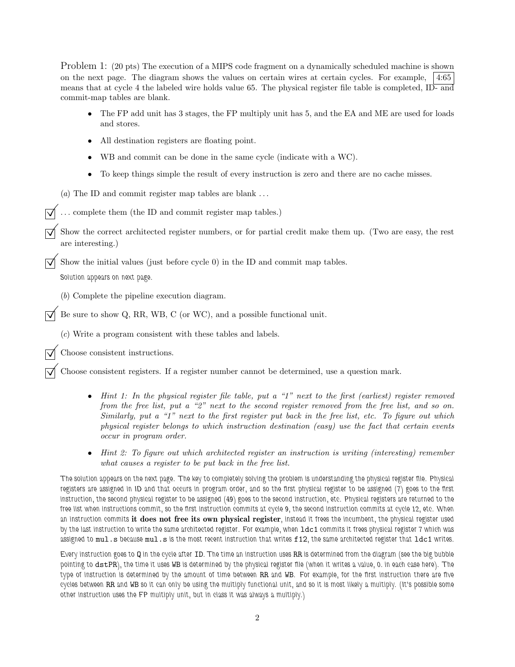Problem 1: (20 pts) The execution of a MIPS code fragment on a dynamically scheduled machine is shown on the next page. The diagram shows the values on certain wires at certain cycles. For example, 4:65 means that at cycle 4 the labeled wire holds value 65. The physical register file table is completed, ID- and commit-map tables are blank.

- The FP add unit has 3 stages, the FP multiply unit has 5, and the EA and ME are used for loads and stores.
- All destination registers are floating point.
- WB and commit can be done in the same cycle (indicate with a WC).
- To keep things simple the result of every instruction is zero and there are no cache misses.
- (*a*) The ID and commit register map tables are blank ...
- $\overrightarrow{\mathsf{Q}}$ ... complete them (the ID and commit register map tables.)
- ©Show the correct architected register numbers, or for partial credit make them up. (Two are easy, the rest are interesting.)

Show the initial values (just before cycle  $0$ ) in the ID and commit map tables.

*Solution appears on next page.*

(*b*) Complete the pipeline execution diagram.

Be sure to show Q, RR, WB, C (or WC), and a possible functional unit.

(*c*) Write a program consistent with these tables and labels.

©Choose consistent instructions.

©Choose consistent registers. If a register number cannot be determined, use a question mark.

- *Hint 1: In the physical register file table, put a "1" next to the first (earliest) register removed from the free list, put a "2" next to the second register removed from the free list, and so on. Similarly, put a "1" next to the first register put back in the free list, etc. To figure out which physical register belongs to which instruction destination (easy) use the fact that certain events occur in program order.*
- *Hint 2: To figure out which architected register an instruction is writing (interesting) remember what causes a register to be put back in the free list.*

*The solution appears on the next page. The key to completely solving the problem is understanding the physical register file. Physical registers are assigned in ID and that occurs in program order, and so the first physical register to be assigned (7) goes to the first instruction, the second physical register to be assigned (49) goes to the second instruction, etc. Physical registers are returned to the free list when instructions commit, so the first instruction commits at cycle 9, the second instruction commits at cycle 12, etc. When an instruction commits* **it does not free its own physical register***, instead it frees the incumbent, the physical register used by the last instruction to write the same architected register. For example, when*  $1dc1$  *commits it frees physical register 7 which was assigned to* mul.s *because* mul.s *is the most recent instruction that writes* f12*, the same architected register that* ldc1 *writes.*

*Every instruction goes to* Q *in the cycle after* ID*. The time an instruction uses* RR *is determined from the diagram (see the big bubble pointing to* dstPR*), the time it uses* WB *is determined by the physical register file (when it writes a value, 0. in each case here). The type of instruction is determined by the amount of time between* RR *and* WB*. For example, for the first instruction there are five cycles between* RR *and* WB *so it can only be using the multiply functional unit, and so it is most likely a multiply. (It's possible some other instruction uses the FP multiply unit, but in class it was always a multiply.)*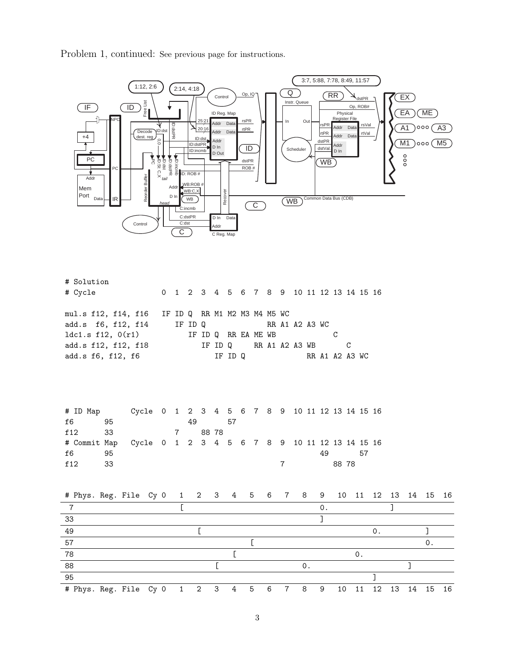Problem 1, continued: See previous page for instructions.



| # ID Map                                                    |     | Cycle 0 1 2 3 4 5 6 7 8 9 10 11 12 13 14 15 16 |  |    |  |     |  |  |                                                                                                                                                                                                                               |     |       |     |  |
|-------------------------------------------------------------|-----|------------------------------------------------|--|----|--|-----|--|--|-------------------------------------------------------------------------------------------------------------------------------------------------------------------------------------------------------------------------------|-----|-------|-----|--|
| f6                                                          | 95  |                                                |  | 49 |  | -57 |  |  |                                                                                                                                                                                                                               |     |       |     |  |
| f12<br>33                                                   |     | 7 88 78                                        |  |    |  |     |  |  |                                                                                                                                                                                                                               |     |       |     |  |
| # Commit Map Cycle 0 1 2 3 4 5 6 7 8 9 10 11 12 13 14 15 16 |     |                                                |  |    |  |     |  |  |                                                                                                                                                                                                                               |     |       |     |  |
| f6                                                          | 95  |                                                |  |    |  |     |  |  |                                                                                                                                                                                                                               | 49. |       | .57 |  |
| f 12                                                        | -33 |                                                |  |    |  |     |  |  | $7$ and $7$ and $7$ and $7$ and $7$ and $7$ and $7$ and $7$ and $7$ and $7$ and $7$ and $7$ and $7$ and $7$ and $7$ and $7$ and $7$ and $7$ and $7$ and $7$ and $7$ and $7$ and $7$ and $7$ and $7$ and $7$ and $7$ and $7$ a |     | 88 78 |     |  |

| # Phys. Reg. File Cy 0 1 2 3 4 5 6 7 8 9 10 11 12 13 14 15 16 |  |  |  |                 |                 |                |   |    |    |             |  |     |
|---------------------------------------------------------------|--|--|--|-----------------|-----------------|----------------|---|----|----|-------------|--|-----|
|                                                               |  |  |  |                 |                 |                |   |    |    |             |  |     |
| 33                                                            |  |  |  |                 |                 |                |   |    |    |             |  |     |
| 49                                                            |  |  |  |                 |                 |                |   |    |    |             |  |     |
| 57                                                            |  |  |  |                 |                 |                |   |    |    |             |  |     |
| 78                                                            |  |  |  |                 |                 |                |   |    |    |             |  |     |
| 88                                                            |  |  |  |                 |                 | $\Omega$ .     |   |    |    |             |  |     |
| 95                                                            |  |  |  |                 |                 |                |   |    |    |             |  |     |
| # Phys. Reg. File Cy 0 1 2 3 4 5                              |  |  |  | $6\overline{6}$ | $7\overline{7}$ | 8 <sup>1</sup> | 9 | 10 | 11 | 12 13 14 15 |  | -16 |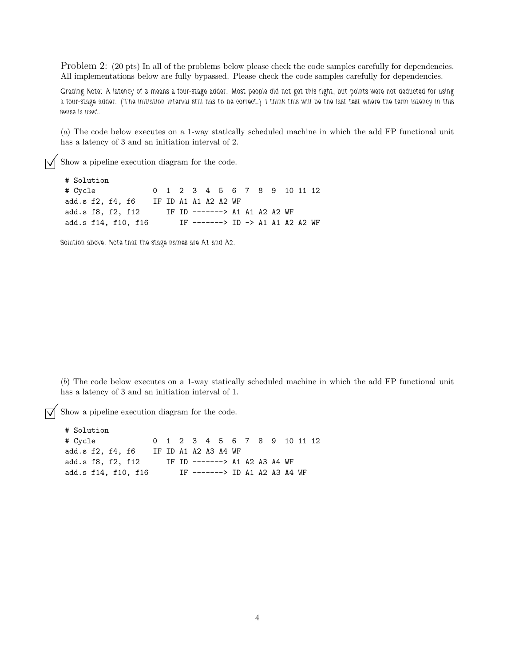Problem 2: (20 pts) In all of the problems below please check the code samples carefully for dependencies. All implementations below are fully bypassed. Please check the code samples carefully for dependencies.

*Grading Note: A latency of 3 means a four-stage adder. Most people did not get this right, but points were not deducted for using a four-stage adder. (The initiation interval still has to be correct.) I think this will be the last test where the term latency in this sense is used.*

(*a*) The code below executes on a 1-way statically scheduled machine in which the add FP functional unit has a latency of 3 and an initiation interval of 2.

 $\triangledown$  Show a pipeline execution diagram for the code.

# Solution # Cycle 0 1 2 3 4 5 6 7 8 9 10 11 12 add.s f2, f4, f6 IF ID A1 A1 A2 A2 WF add.s f8, f2, f12 IF ID -------> A1 A1 A2 A2 WF add.s f14, f10, f16 IF -------> ID -> A1 A1 A2 A2 WF

*Solution above. Note that the stage names are A1 and A2.*

(*b*) The code below executes on a 1-way statically scheduled machine in which the add FP functional unit has a latency of 3 and an initiation interval of 1.

 $\overrightarrow{\bigvee}$  Show a pipeline execution diagram for the code.

# Solution # Cycle 0 1 2 3 4 5 6 7 8 9 10 11 12 add.s f2, f4, f6 IF ID A1 A2 A3 A4 WF add.s f8, f2, f12 IF ID -------> A1 A2 A3 A4 WF add.s f14, f10, f16 IF -------> ID A1 A2 A3 A4 WF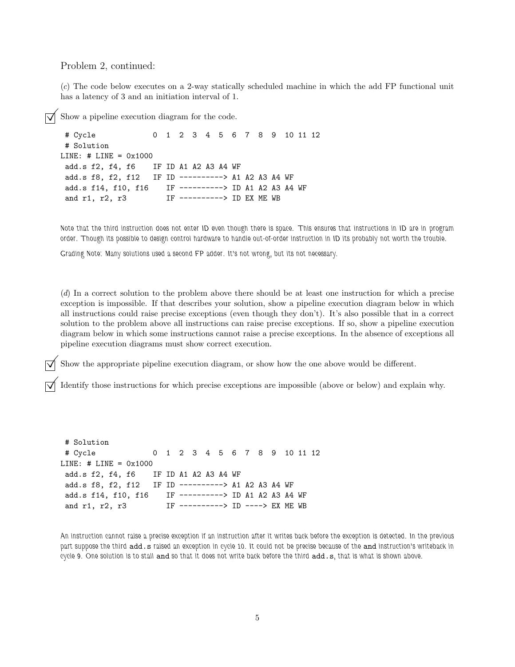Problem 2, continued:

(*c*) The code below executes on a 2-way statically scheduled machine in which the add FP functional unit has a latency of 3 and an initiation interval of 1.

```
Show a pipeline execution diagram for the code.<br># Cycle 0 \t 1 \t 2 \t 3 \t 4 \t 5 \t 6# Cycle 0 1 2 3 4 5 6 7 8 9 10 11 12
 # Solution
LINE: # LINE = 0x1000
 add.s f2, f4, f6 IF ID A1 A2 A3 A4 WF
 add.s f8, f2, f12 IF ID ----------> A1 A2 A3 A4 WF
 add.s f14, f10, f16 IF ----------> ID A1 A2 A3 A4 WF
 and r1, r2, r3 IF ----------> ID EX ME WB
```
*Note that the third instruction does not enter ID even though there is space. This ensures that instructions in ID are in program order. Though its possible to design control hardware to handle out-of-order instruction in ID its probably not worth the trouble.*

*Grading Note: Many solutions used a second FP adder. It's not wrong, but its not necessary.*

(*d*) In a correct solution to the problem above there should be at least one instruction for which a precise exception is impossible. If that describes your solution, show a pipeline execution diagram below in which all instructions could raise precise exceptions (even though they don't). It's also possible that in a correct solution to the problem above all instructions can raise precise exceptions. If so, show a pipeline execution diagram below in which some instructions cannot raise a precise exceptions. In the absence of exceptions all pipeline execution diagrams must show correct execution.

Show the appropriate pipeline execution diagram, or show how the one above would be different.

Identify those instructions for which precise exceptions are impossible (above or below) and explain why.

```
# Solution
# Cycle 0 1 2 3 4 5 6 7 8 9 10 11 12
LINE: # LINE = 0x1000
add.s f2, f4, f6 IF ID A1 A2 A3 A4 WF
add.s f8, f2, f12 IF ID ----------> A1 A2 A3 A4 WF
add.s f14, f10, f16 IF ----------> ID A1 A2 A3 A4 WF
and r1, r2, r3 IF ----------> ID ----> EX ME WB
```
*An instruction cannot raise a precise exception if an instruction after it writes back before the exception is detected. In the previous part suppose the third* add.s *raised an exception in cycle 10. It could not be precise because of the* and *instruction's writeback in cycle 9. One solution is to stall* and *so that it does not write back before the third* add.s*, that is what is shown above.*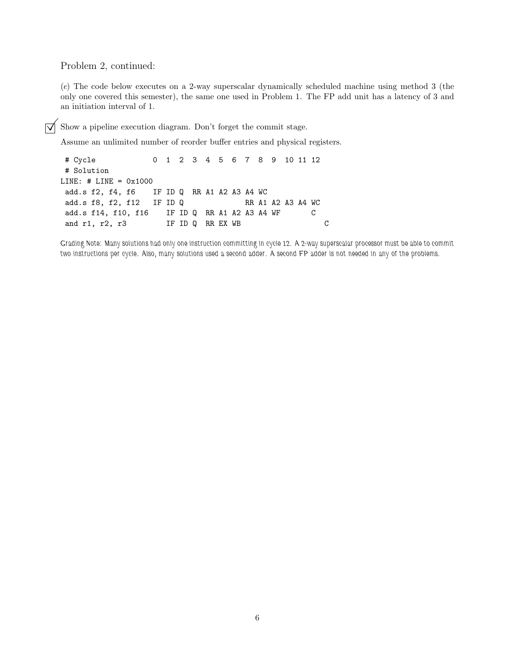Problem 2, continued:

(*e*) The code below executes on a 2-way superscalar dynamically scheduled machine using method 3 (the only one covered this semester), the same one used in Problem 1. The FP add unit has a latency of 3 and an initiation interval of 1.

 $\overrightarrow{\mathsf{q}}$  Show a pipeline execution diagram. Don't forget the commit stage.

Assume an unlimited number of reorder buffer entries and physical registers.

```
# Cycle 0 1 2 3 4 5 6 7 8 9 10 11 12
# Solution
LINE: # LINE = 0x1000
add.s f2, f4, f6 IF ID Q RR A1 A2 A3 A4 WC
add.s f8, f2, f12 IF ID Q RR A1 A2 A3 A4 WC
add.s f14, f10, f16 IF ID Q RR A1 A2 A3 A4 WF C
and r1, r2, r3 IF ID Q RR EX WB C
```
*Grading Note: Many solutions had only one instruction committing in cycle 12. A 2-way superscalar processor must be able to commit two instructions per cycle. Also, many solutions used a second adder. A second FP adder is not needed in any of the problems.*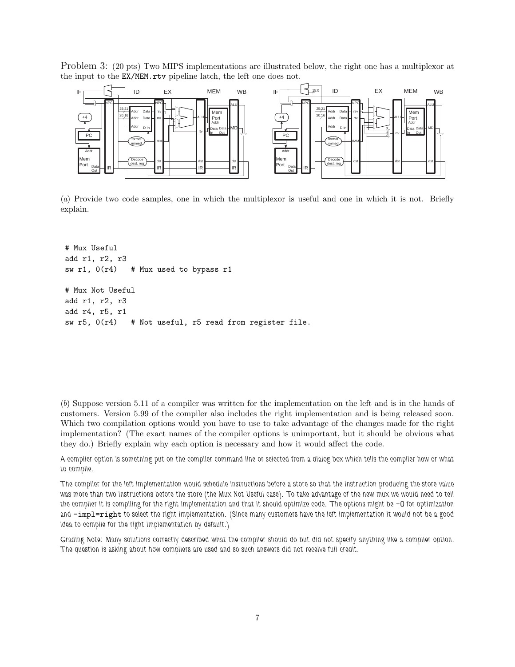Problem 3: (20 pts) Two MIPS implementations are illustrated below, the right one has a multiplexor at the input to the EX/MEM.rtv pipeline latch, the left one does not.



(*a*) Provide two code samples, one in which the multiplexor is useful and one in which it is not. Briefly explain.

```
# Mux Useful
add r1, r2, r3
sw r1, 0(r4) # Mux used to bypass r1
# Mux Not Useful
add r1, r2, r3
add r4, r5, r1
sw r5, 0(r4) # Not useful, r5 read from register file.
```
(*b*) Suppose version 5.11 of a compiler was written for the implementation on the left and is in the hands of customers. Version 5.99 of the compiler also includes the right implementation and is being released soon. Which two compilation options would you have to use to take advantage of the changes made for the right implementation? (The exact names of the compiler options is unimportant, but it should be obvious what they do.) Briefly explain why each option is necessary and how it would affect the code.

*A compiler option is something put on the compiler command line or selected from a dialog box which tells the compiler how or what to compile.*

*The compiler for the left implementation would schedule instructions before a store so that the instruction producing the store value was more than two instructions before the store (the Mux Not Useful case). To take advantage of the new mux we would need to tell* the compiler it is compiling for the right implementation and that it should optimize code. The options might be  $-0$  for optimization *and* -impl=right *to select the right implementation. (Since many customers have the left implementation it would not be a good idea to compile for the right implementation by default.)*

*Grading Note: Many solutions correctly described what the compiler should do but did not specify anything like a compiler option. The question is asking about how compilers are used and so such answers did not receive full credit.*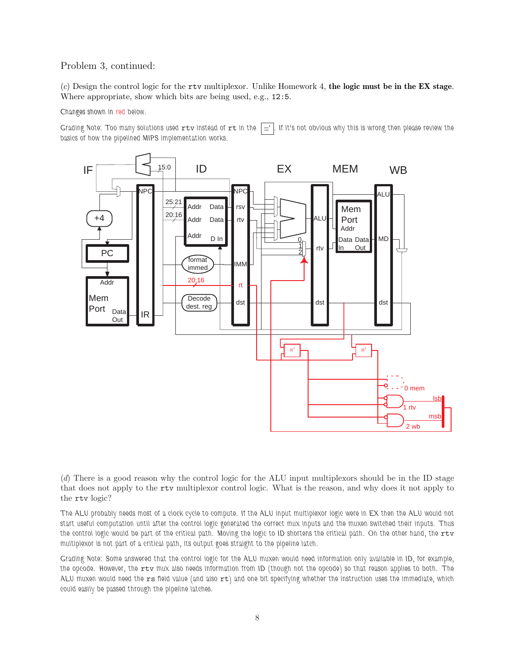## Problem 3, continued:

(*c*) Design the control logic for the rtv multiplexor. Unlike Homework 4, **the logic must be in the EX stage**. Where appropriate, show which bits are being used, e.g., 12:5.

## *Changes shown in red below.*

*Grading Note: Too many solutions used rtv instead of rt in the*  $\vert \underline{=} \vert$ . If it's not obvious why this is wrong then please review the *basics of how the pipelined MIPS implementation works.*



(*d*) There is a good reason why the control logic for the ALU input multiplexors should be in the ID stage that does not apply to the rtv multiplexor control logic. What is the reason, and why does it not apply to the rtv logic?

*The ALU probably needs most of a clock cycle to compute. If the ALU input multiplexor logic were in EX then the ALU would not start useful computation until after the control logic generated the correct mux inputs and the muxen switched their inputs. Thus* the control logic would be part of the critical path. Moving the logic to ID shortens the critical path. On the other hand, the rtv *multiplexor is not part of a critical path, its output goes straight to the pipeline latch.*

*Grading Note: Some answered that the control logic for the ALU muxen would need information only available in ID, for example, the opcode. However, the* rtv *mux also needs information from ID (though not the opcode) so that reason applies to both. The ALU muxen would need the* rs *field value (and also* rt*) and one bit specifying whether the instruction uses the immediate, which could easily be passed through the pipeline latches.*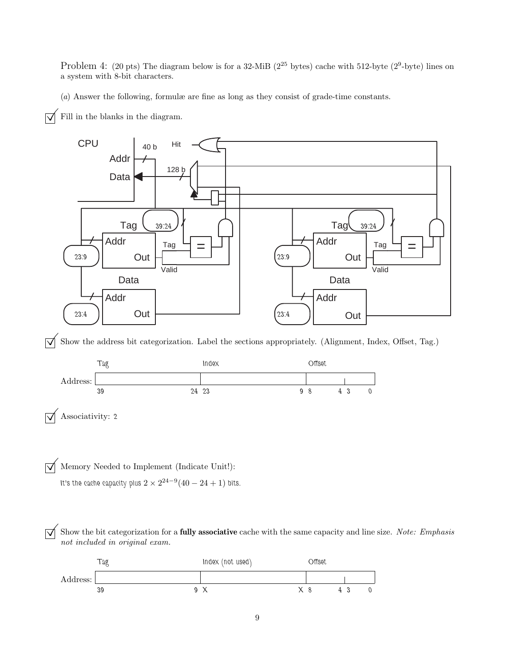Problem 4: (20 pts) The diagram below is for a 32-MiB ( $2^{25}$  bytes) cache with 512-byte ( $2^9$ -byte) lines on a system with 8-bit characters.

(*a*) Answer the following, formulæ are fine as long as they consist of grade-time constants.

 $\sqrt{\phantom{a}}$  Fill in the blanks in the diagram.

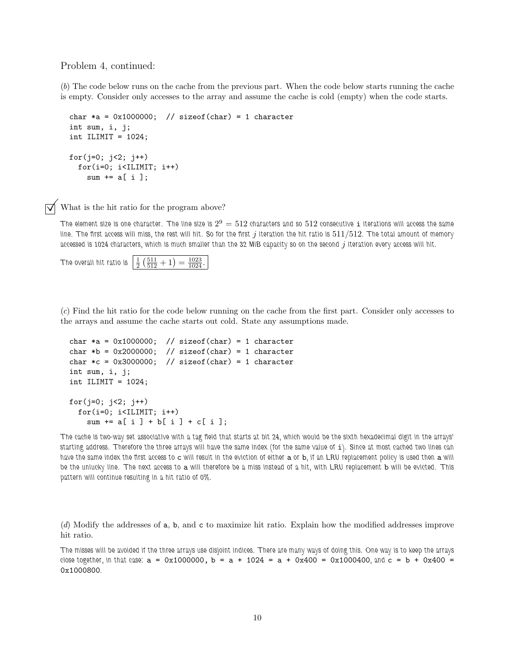Problem 4, continued:

(*b*) The code below runs on the cache from the previous part. When the code below starts running the cache is empty. Consider only accesses to the array and assume the cache is cold (empty) when the code starts.

```
char *a = 0x1000000; // sizeof(char) = 1 character
int sum, i, j;
int ILIMIT = 1024;
for(j=0; j<2; j++)
 for(i=0; i<ILIMIT; i++)
    sum += a[i];
```
 $\triangledown$  What is the hit ratio for the program above?

*The element size is one character. The line size is*  $2^9 = 512$  *characters and so*  $512$  *consecutive* i *iterations will access the same line. The first access will miss, the rest will hit. So for the first* j *iteration the hit ratio is* 511/512*. The total amount of memory* accessed is 1024 characters, which is much smaller than the 32 MiB capacity so on the second j iteration every access will hit.

```
The overall hit ratio is \frac{1}{2} \left( \frac{511}{512} + 1 \right) = \frac{1023}{1024}.
```
(*c*) Find the hit ratio for the code below running on the cache from the first part. Consider only accesses to the arrays and assume the cache starts out cold. State any assumptions made.

```
char *a = 0x1000000; // sizeof(char) = 1 character
char *b = 0x2000000; // sizeof(char) = 1 character
char *c = 0x3000000; // sizeof(char) = 1 character
int sum, i, j;
int ILIMIT = 1024;
for(j=0; j<2; j++)for(i=0; i<ILIMIT; i++)
   sum += a[i] + b[i] + c[i];
```
*The cache is two-way set associative with a tag field that starts at bit 24, which would be the sixth hexadecimal digit in the arrays' starting address. Therefore the three arrays will have the same index (for the same value of* i*). Since at most cached two lines can have the same index the first access to* c *will result in the eviction of either* a *or* b*, if an LRU replacement policy is used then* a *will be the unlucky line. The next access to* a *will therefore be a miss instead of a hit, with LRU replacement* b *will be evicted. This pattern will continue resulting in a hit ratio of 0%.*

(*d*) Modify the addresses of a, b, and c to maximize hit ratio. Explain how the modified addresses improve hit ratio.

*The misses will be avoided if the three arrays use disjoint indices. There are many ways of doing this. One way is to keep the arrays close together, in that case:* a = 0x1000000, b = a + 1024 = a + 0x400 = 0x1000400*, and* c = b + 0x400 = 0x1000800*.*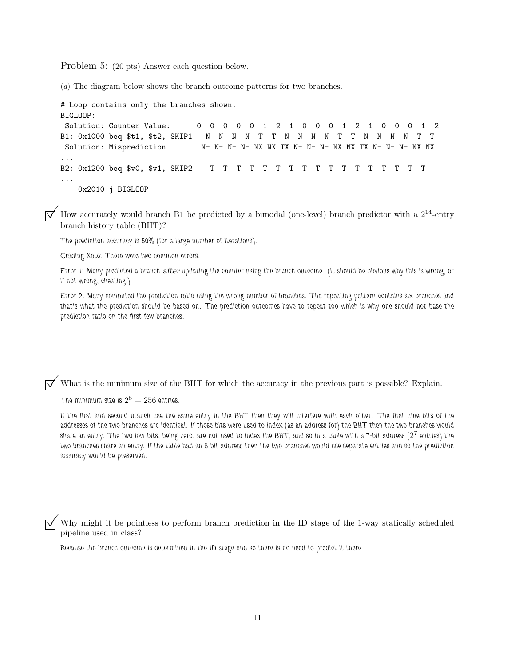Problem 5: (20 pts) Answer each question below.

(*a*) The diagram below shows the branch outcome patterns for two branches.

```
# Loop contains only the branches shown.
BIGLOOP:
Solution: Counter Value: 0 0 0 0 0 1 2 1 0 0 0 1 2 1 0 0 0 1 2
B1: 0x1000 beq $t1, $t2, SKIP1 N N N N T T N N N N T T N N N N T T
Solution: Misprediction N- N- N- N- NX NX TX N- N- NX NX TX N- N- N- NX NX
...
B2: 0x1200 beq $v0, $v1, SKIP2 T T T T T T T T T T T T T T T T T
...
   0x2010 j BIGLOOP
```
 $\Box$  How accurately would branch B1 be predicted by a bimodal (one-level) branch predictor with a  $2^{14}$ -entry branch history table (BHT)?

*The prediction accuracy is 50% (for a large number of iterations).*

*Grading Note: There were two common errors.*

*Error 1: Many predicted a branch* after *updating the counter using the branch outcome. (It should be obvious why this is wrong, or if not wrong, cheating.)*

*Error 2: Many computed the prediction ratio using the wrong number of branches. The repeating pattern contains six branches and that's what the prediction should be based on. The prediction outcomes have to repeat too which is why one should not base the prediction ratio on the first few branches.*

What is the minimum size of the BHT for which the accuracy in the previous part is possible? Explain.

The minimum size is  $2^8 = 256$  entries.

*If the first and second branch use the same entry in the BHT then they will interfere with each other. The first nine bits of the addresses of the two branches are identical. If those bits were used to index (as an address for) the BHT then the two branches would share an entry. The two low bits, being zero, are not used to index the BHT, and so in a table with a 7-bit address (*2<sup>7</sup> *entries) the two branches share an entry. If the table had an 8-bit address then the two branches would use separate entries and so the prediction accuracy would be preserved.*

Why might it be pointless to perform branch prediction in the ID stage of the 1-way statically scheduled pipeline used in class?

*Because the branch outcome is determined in the ID stage and so there is no need to predict it there.*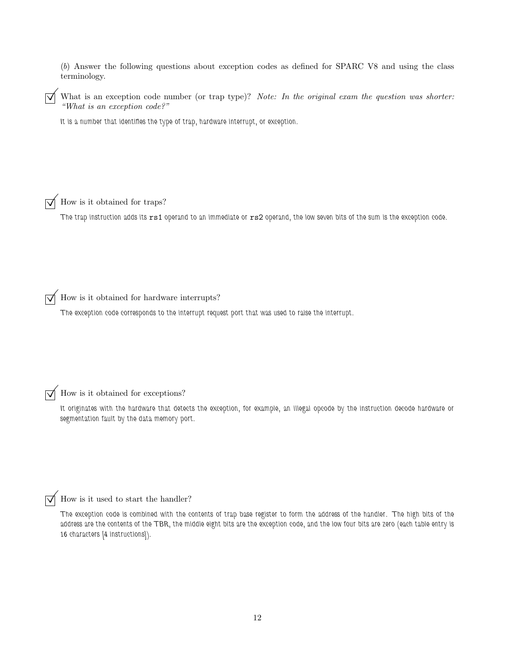(*b*) Answer the following questions about exception codes as defined for SPARC V8 and using the class terminology.

What is an exception code number (or trap type)? *Note: In the original exam the question was shorter: "What is an exception code?"*

*It is a number that identifies the type of trap, hardware interrupt, or exception.*

How is it obtained for traps?

*The trap instruction adds its* rs1 *operand to an immediate or* rs2 *operand, the low seven bits of the sum is the exception code.*

 $\overrightarrow{\bigvee}$  How is it obtained for hardware interrupts?

*The exception code corresponds to the interrupt request port that was used to raise the interrupt.*

How is it obtained for exceptions?

*It originates with the hardware that detects the exception, for example, an illegal opcode by the instruction decode hardware or segmentation fault by the data memory port.*

How is it used to start the handler?

*The exception code is combined with the contents of trap base register to form the address of the handler. The high bits of the address are the contents of the TBR, the middle eight bits are the exception code, and the low four bits are zero (each table entry is 16 characters [4 instructions]).*